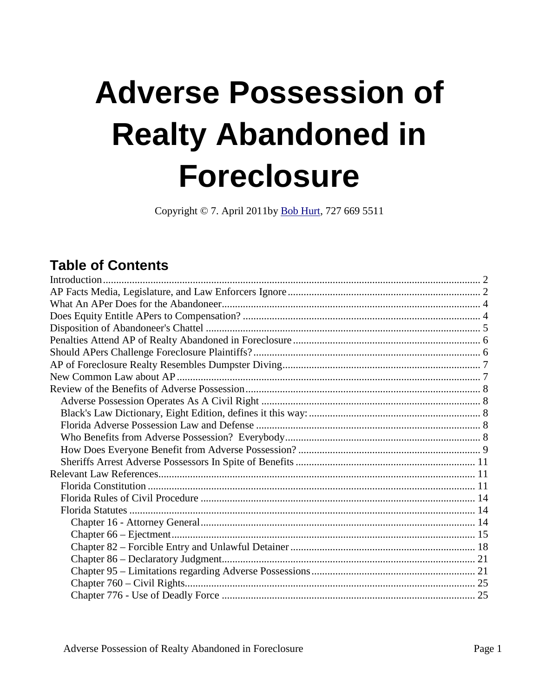# **Adverse Possession of Realty Abandoned in Foreclosure**

Copyright © 7. April 2011by Bob Hurt, 727 669 5511

### **Table of Contents**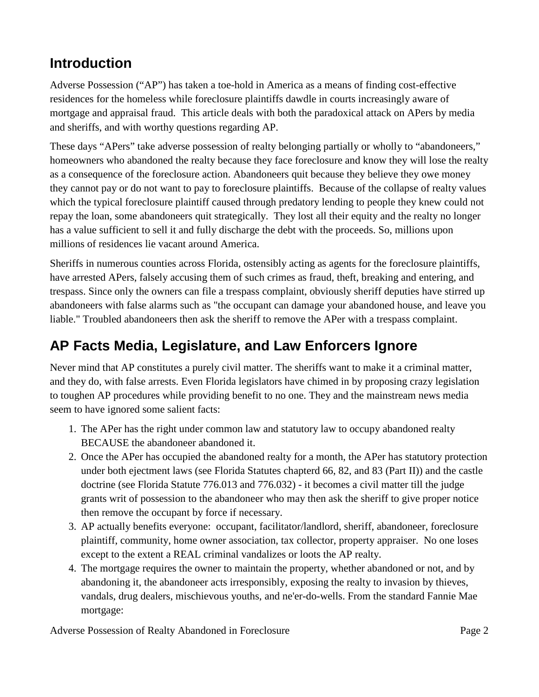## **Introduction**

Adverse Possession ("AP") has taken a toe-hold in America as a means of finding cost-effective residences for the homeless while foreclosure plaintiffs dawdle in courts increasingly aware of mortgage and appraisal fraud. This article deals with both the paradoxical attack on APers by media and sheriffs, and with worthy questions regarding AP.

These days "APers" take adverse possession of realty belonging partially or wholly to "abandoneers," homeowners who abandoned the realty because they face foreclosure and know they will lose the realty as a consequence of the foreclosure action. Abandoneers quit because they believe they owe money they cannot pay or do not want to pay to foreclosure plaintiffs. Because of the collapse of realty values which the typical foreclosure plaintiff caused through predatory lending to people they knew could not repay the loan, some abandoneers quit strategically. They lost all their equity and the realty no longer has a value sufficient to sell it and fully discharge the debt with the proceeds. So, millions upon millions of residences lie vacant around America.

Sheriffs in numerous counties across Florida, ostensibly acting as agents for the foreclosure plaintiffs, have arrested APers, falsely accusing them of such crimes as fraud, theft, breaking and entering, and trespass. Since only the owners can file a trespass complaint, obviously sheriff deputies have stirred up abandoneers with false alarms such as "the occupant can damage your abandoned house, and leave you liable." Troubled abandoneers then ask the sheriff to remove the APer with a trespass complaint.

# **AP Facts Media, Legislature, and Law Enforcers Ignore**

Never mind that AP constitutes a purely civil matter. The sheriffs want to make it a criminal matter, and they do, with false arrests. Even Florida legislators have chimed in by proposing crazy legislation to toughen AP procedures while providing benefit to no one. They and the mainstream news media seem to have ignored some salient facts:

- 1. The APer has the right under common law and statutory law to occupy abandoned realty BECAUSE the abandoneer abandoned it.
- 2. Once the APer has occupied the abandoned realty for a month, the APer has statutory protection under both ejectment laws (see Florida Statutes chapterd 66, 82, and 83 (Part II)) and the castle doctrine (see Florida Statute 776.013 and 776.032) - it becomes a civil matter till the judge grants writ of possession to the abandoneer who may then ask the sheriff to give proper notice then remove the occupant by force if necessary.
- 3. AP actually benefits everyone: occupant, facilitator/landlord, sheriff, abandoneer, foreclosure plaintiff, community, home owner association, tax collector, property appraiser. No one loses except to the extent a REAL criminal vandalizes or loots the AP realty.
- 4. The mortgage requires the owner to maintain the property, whether abandoned or not, and by abandoning it, the abandoneer acts irresponsibly, exposing the realty to invasion by thieves, vandals, drug dealers, mischievous youths, and ne'er-do-wells. From the standard Fannie Mae mortgage: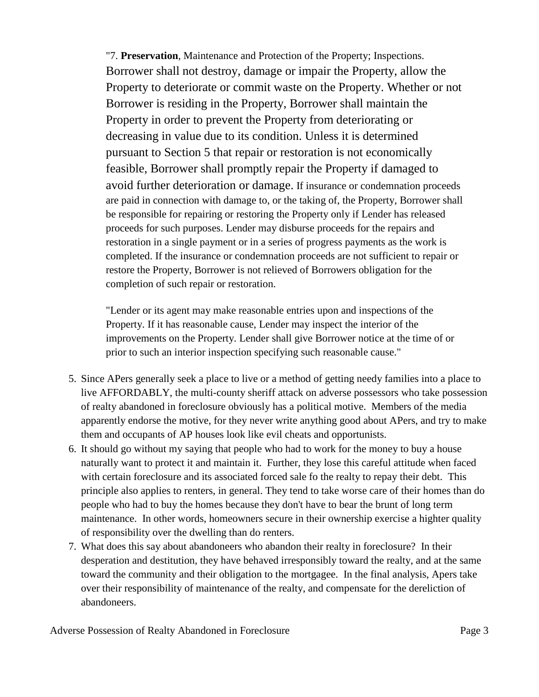"7. **Preservation**, Maintenance and Protection of the Property; Inspections. Borrower shall not destroy, damage or impair the Property, allow the Property to deteriorate or commit waste on the Property. Whether or not Borrower is residing in the Property, Borrower shall maintain the Property in order to prevent the Property from deteriorating or decreasing in value due to its condition. Unless it is determined pursuant to Section 5 that repair or restoration is not economically feasible, Borrower shall promptly repair the Property if damaged to avoid further deterioration or damage. If insurance or condemnation proceeds are paid in connection with damage to, or the taking of, the Property, Borrower shall be responsible for repairing or restoring the Property only if Lender has released proceeds for such purposes. Lender may disburse proceeds for the repairs and restoration in a single payment or in a series of progress payments as the work is completed. If the insurance or condemnation proceeds are not sufficient to repair or restore the Property, Borrower is not relieved of Borrowers obligation for the completion of such repair or restoration.

"Lender or its agent may make reasonable entries upon and inspections of the Property. If it has reasonable cause, Lender may inspect the interior of the improvements on the Property. Lender shall give Borrower notice at the time of or prior to such an interior inspection specifying such reasonable cause."

- 5. Since APers generally seek a place to live or a method of getting needy families into a place to live AFFORDABLY, the multi-county sheriff attack on adverse possessors who take possession of realty abandoned in foreclosure obviously has a political motive. Members of the media apparently endorse the motive, for they never write anything good about APers, and try to make them and occupants of AP houses look like evil cheats and opportunists.
- 6. It should go without my saying that people who had to work for the money to buy a house naturally want to protect it and maintain it. Further, they lose this careful attitude when faced with certain foreclosure and its associated forced sale fo the realty to repay their debt. This principle also applies to renters, in general. They tend to take worse care of their homes than do people who had to buy the homes because they don't have to bear the brunt of long term maintenance. In other words, homeowners secure in their ownership exercise a highter quality of responsibility over the dwelling than do renters.
- 7. What does this say about abandoneers who abandon their realty in foreclosure? In their desperation and destitution, they have behaved irresponsibly toward the realty, and at the same toward the community and their obligation to the mortgagee. In the final analysis, Apers take over their responsibility of maintenance of the realty, and compensate for the dereliction of abandoneers.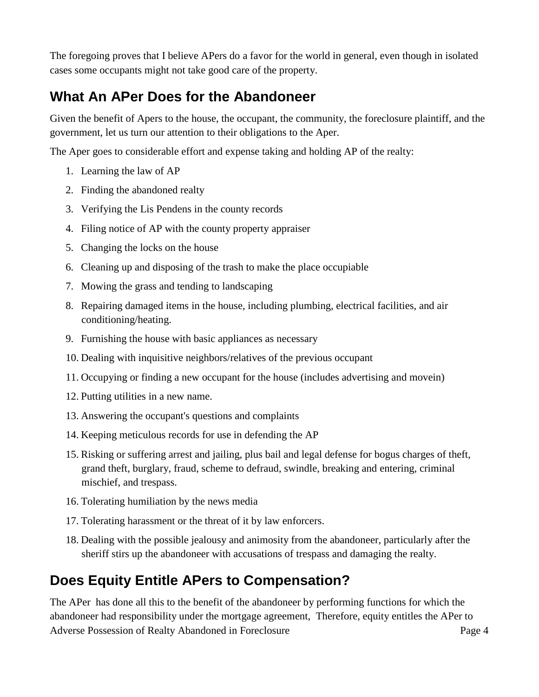The foregoing proves that I believe APers do a favor for the world in general, even though in isolated cases some occupants might not take good care of the property.

## **What An APer Does for the Abandoneer**

Given the benefit of Apers to the house, the occupant, the community, the foreclosure plaintiff, and the government, let us turn our attention to their obligations to the Aper.

The Aper goes to considerable effort and expense taking and holding AP of the realty:

- 1. Learning the law of AP
- 2. Finding the abandoned realty
- 3. Verifying the Lis Pendens in the county records
- 4. Filing notice of AP with the county property appraiser
- 5. Changing the locks on the house
- 6. Cleaning up and disposing of the trash to make the place occupiable
- 7. Mowing the grass and tending to landscaping
- 8. Repairing damaged items in the house, including plumbing, electrical facilities, and air conditioning/heating.
- 9. Furnishing the house with basic appliances as necessary
- 10. Dealing with inquisitive neighbors/relatives of the previous occupant
- 11. Occupying or finding a new occupant for the house (includes advertising and movein)
- 12. Putting utilities in a new name.
- 13. Answering the occupant's questions and complaints
- 14. Keeping meticulous records for use in defending the AP
- 15. Risking or suffering arrest and jailing, plus bail and legal defense for bogus charges of theft, grand theft, burglary, fraud, scheme to defraud, swindle, breaking and entering, criminal mischief, and trespass.
- 16. Tolerating humiliation by the news media
- 17. Tolerating harassment or the threat of it by law enforcers.
- 18. Dealing with the possible jealousy and animosity from the abandoneer, particularly after the sheriff stirs up the abandoneer with accusations of trespass and damaging the realty.

# **Does Equity Entitle APers to Compensation?**

Adverse Possession of Realty Abandoned in Foreclosure Page 4 The APer has done all this to the benefit of the abandoneer by performing functions for which the abandoneer had responsibility under the mortgage agreement, Therefore, equity entitles the APer to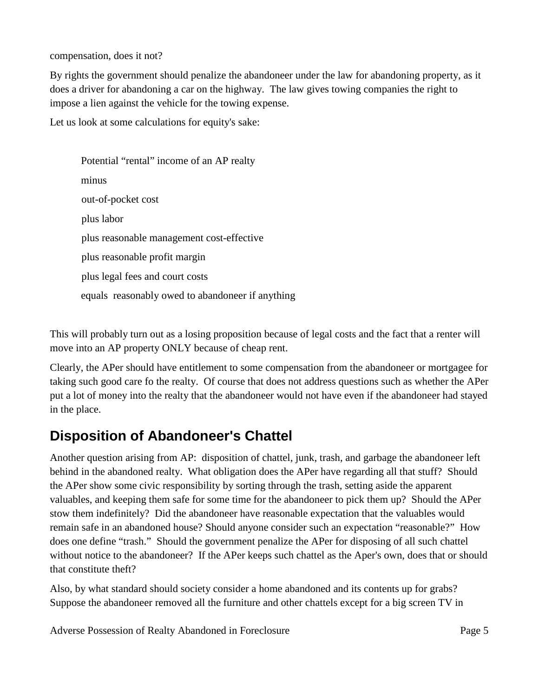compensation, does it not?

By rights the government should penalize the abandoneer under the law for abandoning property, as it does a driver for abandoning a car on the highway. The law gives towing companies the right to impose a lien against the vehicle for the towing expense.

Let us look at some calculations for equity's sake:

Potential "rental" income of an AP realty minus out-of-pocket cost plus labor plus reasonable management cost-effective plus reasonable profit margin plus legal fees and court costs equals reasonably owed to abandoneer if anything

This will probably turn out as a losing proposition because of legal costs and the fact that a renter will move into an AP property ONLY because of cheap rent.

Clearly, the APer should have entitlement to some compensation from the abandoneer or mortgagee for taking such good care fo the realty. Of course that does not address questions such as whether the APer put a lot of money into the realty that the abandoneer would not have even if the abandoneer had stayed in the place.

## **Disposition of Abandoneer's Chattel**

Another question arising from AP: disposition of chattel, junk, trash, and garbage the abandoneer left behind in the abandoned realty. What obligation does the APer have regarding all that stuff? Should the APer show some civic responsibility by sorting through the trash, setting aside the apparent valuables, and keeping them safe for some time for the abandoneer to pick them up? Should the APer stow them indefinitely? Did the abandoneer have reasonable expectation that the valuables would remain safe in an abandoned house? Should anyone consider such an expectation "reasonable?" How does one define "trash." Should the government penalize the APer for disposing of all such chattel without notice to the abandoneer? If the APer keeps such chattel as the Aper's own, does that or should that constitute theft?

Also, by what standard should society consider a home abandoned and its contents up for grabs? Suppose the abandoneer removed all the furniture and other chattels except for a big screen TV in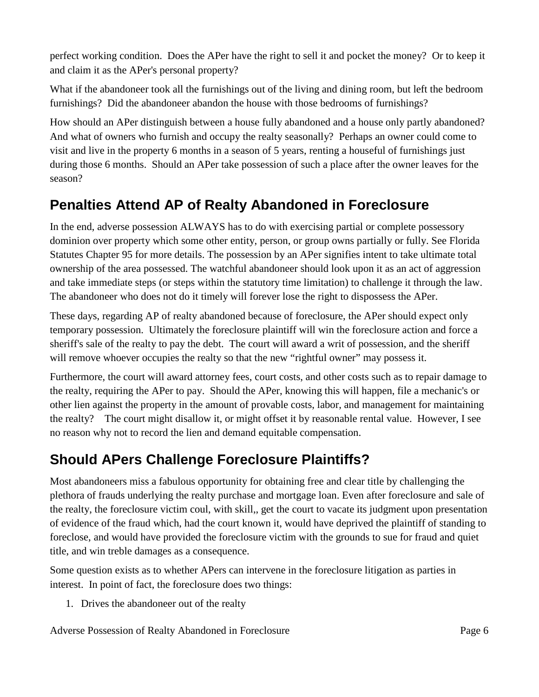perfect working condition. Does the APer have the right to sell it and pocket the money? Or to keep it and claim it as the APer's personal property?

What if the abandoneer took all the furnishings out of the living and dining room, but left the bedroom furnishings? Did the abandoneer abandon the house with those bedrooms of furnishings?

How should an APer distinguish between a house fully abandoned and a house only partly abandoned? And what of owners who furnish and occupy the realty seasonally? Perhaps an owner could come to visit and live in the property 6 months in a season of 5 years, renting a houseful of furnishings just during those 6 months. Should an APer take possession of such a place after the owner leaves for the season?

## **Penalties Attend AP of Realty Abandoned in Foreclosure**

In the end, adverse possession ALWAYS has to do with exercising partial or complete possessory dominion over property which some other entity, person, or group owns partially or fully. See Florida Statutes Chapter 95 for more details. The possession by an APer signifies intent to take ultimate total ownership of the area possessed. The watchful abandoneer should look upon it as an act of aggression and take immediate steps (or steps within the statutory time limitation) to challenge it through the law. The abandoneer who does not do it timely will forever lose the right to dispossess the APer.

These days, regarding AP of realty abandoned because of foreclosure, the APer should expect only temporary possession. Ultimately the foreclosure plaintiff will win the foreclosure action and force a sheriff's sale of the realty to pay the debt. The court will award a writ of possession, and the sheriff will remove whoever occupies the realty so that the new "rightful owner" may possess it.

Furthermore, the court will award attorney fees, court costs, and other costs such as to repair damage to the realty, requiring the APer to pay. Should the APer, knowing this will happen, file a mechanic's or other lien against the property in the amount of provable costs, labor, and management for maintaining the realty? The court might disallow it, or might offset it by reasonable rental value. However, I see no reason why not to record the lien and demand equitable compensation.

# **Should APers Challenge Foreclosure Plaintiffs?**

Most abandoneers miss a fabulous opportunity for obtaining free and clear title by challenging the plethora of frauds underlying the realty purchase and mortgage loan. Even after foreclosure and sale of the realty, the foreclosure victim coul, with skill,, get the court to vacate its judgment upon presentation of evidence of the fraud which, had the court known it, would have deprived the plaintiff of standing to foreclose, and would have provided the foreclosure victim with the grounds to sue for fraud and quiet title, and win treble damages as a consequence.

Some question exists as to whether APers can intervene in the foreclosure litigation as parties in interest. In point of fact, the foreclosure does two things:

1. Drives the abandoneer out of the realty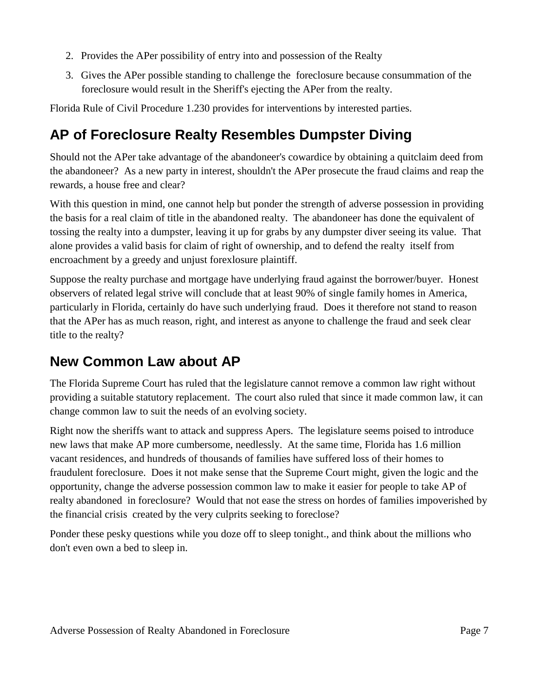- 2. Provides the APer possibility of entry into and possession of the Realty
- 3. Gives the APer possible standing to challenge the foreclosure because consummation of the foreclosure would result in the Sheriff's ejecting the APer from the realty.

Florida Rule of Civil Procedure 1.230 provides for interventions by interested parties.

## **AP of Foreclosure Realty Resembles Dumpster Diving**

Should not the APer take advantage of the abandoneer's cowardice by obtaining a quitclaim deed from the abandoneer? As a new party in interest, shouldn't the APer prosecute the fraud claims and reap the rewards, a house free and clear?

With this question in mind, one cannot help but ponder the strength of adverse possession in providing the basis for a real claim of title in the abandoned realty. The abandoneer has done the equivalent of tossing the realty into a dumpster, leaving it up for grabs by any dumpster diver seeing its value. That alone provides a valid basis for claim of right of ownership, and to defend the realty itself from encroachment by a greedy and unjust forexlosure plaintiff.

Suppose the realty purchase and mortgage have underlying fraud against the borrower/buyer. Honest observers of related legal strive will conclude that at least 90% of single family homes in America, particularly in Florida, certainly do have such underlying fraud. Does it therefore not stand to reason that the APer has as much reason, right, and interest as anyone to challenge the fraud and seek clear title to the realty?

## **New Common Law about AP**

The Florida Supreme Court has ruled that the legislature cannot remove a common law right without providing a suitable statutory replacement. The court also ruled that since it made common law, it can change common law to suit the needs of an evolving society.

Right now the sheriffs want to attack and suppress Apers. The legislature seems poised to introduce new laws that make AP more cumbersome, needlessly. At the same time, Florida has 1.6 million vacant residences, and hundreds of thousands of families have suffered loss of their homes to fraudulent foreclosure. Does it not make sense that the Supreme Court might, given the logic and the opportunity, change the adverse possession common law to make it easier for people to take AP of realty abandoned in foreclosure? Would that not ease the stress on hordes of families impoverished by the financial crisis created by the very culprits seeking to foreclose?

Ponder these pesky questions while you doze off to sleep tonight., and think about the millions who don't even own a bed to sleep in.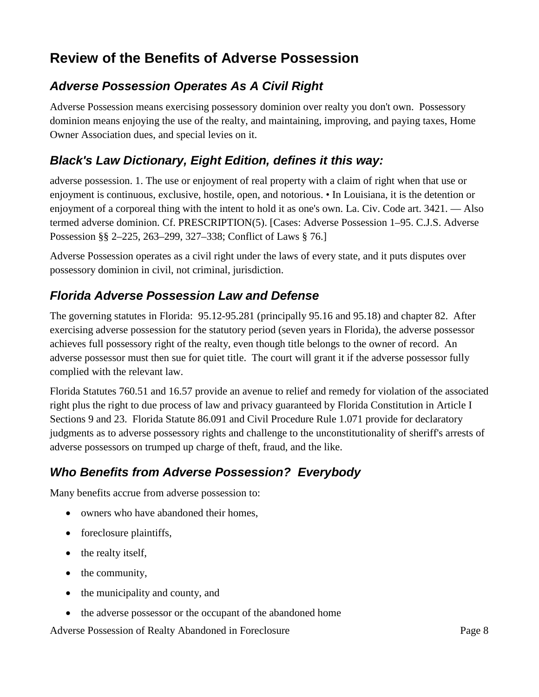## **Review of the Benefits of Adverse Possession**

## *Adverse Possession Operates As A Civil Right*

Adverse Possession means exercising possessory dominion over realty you don't own. Possessory dominion means enjoying the use of the realty, and maintaining, improving, and paying taxes, Home Owner Association dues, and special levies on it.

#### *Black's Law Dictionary, Eight Edition, defines it this way:*

adverse possession. 1. The use or enjoyment of real property with a claim of right when that use or enjoyment is continuous, exclusive, hostile, open, and notorious. • In Louisiana, it is the detention or enjoyment of a corporeal thing with the intent to hold it as one's own. La. Civ. Code art. 3421. — Also termed adverse dominion. Cf. PRESCRIPTION(5). [Cases: Adverse Possession 1–95. C.J.S. Adverse Possession §§ 2–225, 263–299, 327–338; Conflict of Laws § 76.]

Adverse Possession operates as a civil right under the laws of every state, and it puts disputes over possessory dominion in civil, not criminal, jurisdiction.

#### *Florida Adverse Possession Law and Defense*

The governing statutes in Florida: 95.12-95.281 (principally 95.16 and 95.18) and chapter 82. After exercising adverse possession for the statutory period (seven years in Florida), the adverse possessor achieves full possessory right of the realty, even though title belongs to the owner of record. An adverse possessor must then sue for quiet title. The court will grant it if the adverse possessor fully complied with the relevant law.

Florida Statutes 760.51 and 16.57 provide an avenue to relief and remedy for violation of the associated right plus the right to due process of law and privacy guaranteed by Florida Constitution in Article I Sections 9 and 23. Florida Statute 86.091 and Civil Procedure Rule 1.071 provide for declaratory judgments as to adverse possessory rights and challenge to the unconstitutionality of sheriff's arrests of adverse possessors on trumped up charge of theft, fraud, and the like.

#### *Who Benefits from Adverse Possession? Everybody*

Many benefits accrue from adverse possession to:

- owners who have abandoned their homes,
- foreclosure plaintiffs,
- the realty itself,
- the community,
- the municipality and county, and
- the adverse possessor or the occupant of the abandoned home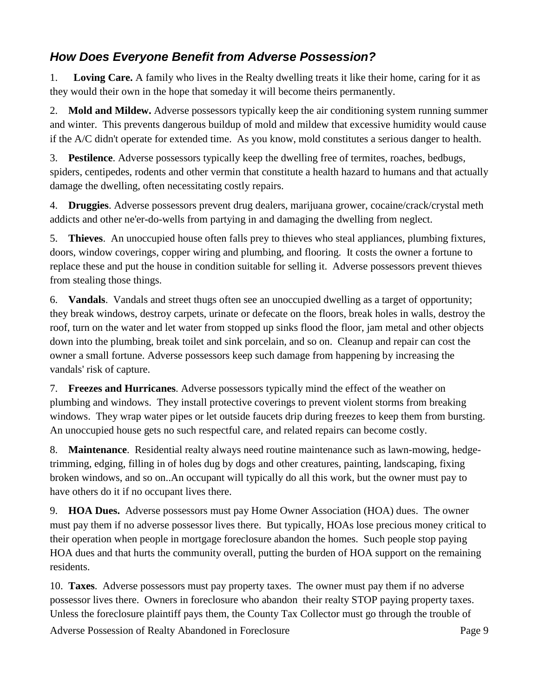### *How Does Everyone Benefit from Adverse Possession?*

1. **Loving Care.** A family who lives in the Realty dwelling treats it like their home, caring for it as they would their own in the hope that someday it will become theirs permanently.

2. **Mold and Mildew.** Adverse possessors typically keep the air conditioning system running summer and winter. This prevents dangerous buildup of mold and mildew that excessive humidity would cause if the A/C didn't operate for extended time. As you know, mold constitutes a serious danger to health.

3. **Pestilence**. Adverse possessors typically keep the dwelling free of termites, roaches, bedbugs, spiders, centipedes, rodents and other vermin that constitute a health hazard to humans and that actually damage the dwelling, often necessitating costly repairs.

4. **Druggies**. Adverse possessors prevent drug dealers, marijuana grower, cocaine/crack/crystal meth addicts and other ne'er-do-wells from partying in and damaging the dwelling from neglect.

5. **Thieves**. An unoccupied house often falls prey to thieves who steal appliances, plumbing fixtures, doors, window coverings, copper wiring and plumbing, and flooring. It costs the owner a fortune to replace these and put the house in condition suitable for selling it. Adverse possessors prevent thieves from stealing those things.

6. **Vandals**. Vandals and street thugs often see an unoccupied dwelling as a target of opportunity; they break windows, destroy carpets, urinate or defecate on the floors, break holes in walls, destroy the roof, turn on the water and let water from stopped up sinks flood the floor, jam metal and other objects down into the plumbing, break toilet and sink porcelain, and so on. Cleanup and repair can cost the owner a small fortune. Adverse possessors keep such damage from happening by increasing the vandals' risk of capture.

7. **Freezes and Hurricanes**. Adverse possessors typically mind the effect of the weather on plumbing and windows. They install protective coverings to prevent violent storms from breaking windows. They wrap water pipes or let outside faucets drip during freezes to keep them from bursting. An unoccupied house gets no such respectful care, and related repairs can become costly.

8. **Maintenance**. Residential realty always need routine maintenance such as lawn-mowing, hedgetrimming, edging, filling in of holes dug by dogs and other creatures, painting, landscaping, fixing broken windows, and so on..An occupant will typically do all this work, but the owner must pay to have others do it if no occupant lives there.

9. **HOA Dues.** Adverse possessors must pay Home Owner Association (HOA) dues. The owner must pay them if no adverse possessor lives there. But typically, HOAs lose precious money critical to their operation when people in mortgage foreclosure abandon the homes. Such people stop paying HOA dues and that hurts the community overall, putting the burden of HOA support on the remaining residents.

10. **Taxes**. Adverse possessors must pay property taxes. The owner must pay them if no adverse possessor lives there. Owners in foreclosure who abandon their realty STOP paying property taxes. Unless the foreclosure plaintiff pays them, the County Tax Collector must go through the trouble of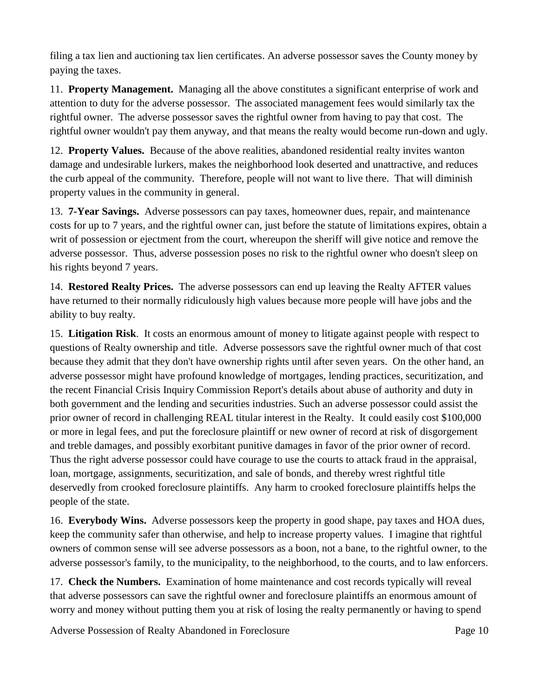filing a tax lien and auctioning tax lien certificates. An adverse possessor saves the County money by paying the taxes.

11. **Property Management.** Managing all the above constitutes a significant enterprise of work and attention to duty for the adverse possessor. The associated management fees would similarly tax the rightful owner. The adverse possessor saves the rightful owner from having to pay that cost. The rightful owner wouldn't pay them anyway, and that means the realty would become run-down and ugly.

12. **Property Values.** Because of the above realities, abandoned residential realty invites wanton damage and undesirable lurkers, makes the neighborhood look deserted and unattractive, and reduces the curb appeal of the community. Therefore, people will not want to live there. That will diminish property values in the community in general.

13. **7-Year Savings.** Adverse possessors can pay taxes, homeowner dues, repair, and maintenance costs for up to 7 years, and the rightful owner can, just before the statute of limitations expires, obtain a writ of possession or ejectment from the court, whereupon the sheriff will give notice and remove the adverse possessor. Thus, adverse possession poses no risk to the rightful owner who doesn't sleep on his rights beyond 7 years.

14. **Restored Realty Prices.** The adverse possessors can end up leaving the Realty AFTER values have returned to their normally ridiculously high values because more people will have jobs and the ability to buy realty.

15. **Litigation Risk**. It costs an enormous amount of money to litigate against people with respect to questions of Realty ownership and title. Adverse possessors save the rightful owner much of that cost because they admit that they don't have ownership rights until after seven years. On the other hand, an adverse possessor might have profound knowledge of mortgages, lending practices, securitization, and the recent Financial Crisis Inquiry Commission Report's details about abuse of authority and duty in both government and the lending and securities industries. Such an adverse possessor could assist the prior owner of record in challenging REAL titular interest in the Realty. It could easily cost \$100,000 or more in legal fees, and put the foreclosure plaintiff or new owner of record at risk of disgorgement and treble damages, and possibly exorbitant punitive damages in favor of the prior owner of record. Thus the right adverse possessor could have courage to use the courts to attack fraud in the appraisal, loan, mortgage, assignments, securitization, and sale of bonds, and thereby wrest rightful title deservedly from crooked foreclosure plaintiffs. Any harm to crooked foreclosure plaintiffs helps the people of the state.

16. **Everybody Wins.** Adverse possessors keep the property in good shape, pay taxes and HOA dues, keep the community safer than otherwise, and help to increase property values. I imagine that rightful owners of common sense will see adverse possessors as a boon, not a bane, to the rightful owner, to the adverse possessor's family, to the municipality, to the neighborhood, to the courts, and to law enforcers.

17. **Check the Numbers.** Examination of home maintenance and cost records typically will reveal that adverse possessors can save the rightful owner and foreclosure plaintiffs an enormous amount of worry and money without putting them you at risk of losing the realty permanently or having to spend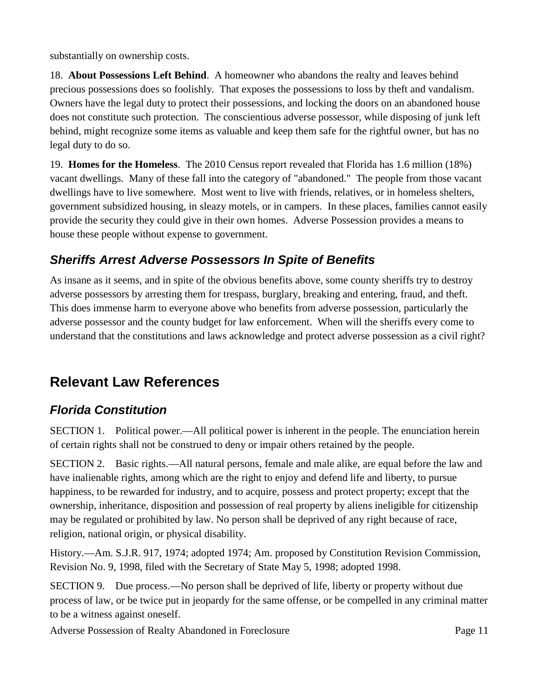substantially on ownership costs.

18. **About Possessions Left Behind**. A homeowner who abandons the realty and leaves behind precious possessions does so foolishly. That exposes the possessions to loss by theft and vandalism. Owners have the legal duty to protect their possessions, and locking the doors on an abandoned house does not constitute such protection. The conscientious adverse possessor, while disposing of junk left behind, might recognize some items as valuable and keep them safe for the rightful owner, but has no legal duty to do so.

19. **Homes for the Homeless**. The 2010 Census report revealed that Florida has 1.6 million (18%) vacant dwellings. Many of these fall into the category of "abandoned." The people from those vacant dwellings have to live somewhere. Most went to live with friends, relatives, or in homeless shelters, government subsidized housing, in sleazy motels, or in campers. In these places, families cannot easily provide the security they could give in their own homes. Adverse Possession provides a means to house these people without expense to government.

#### *Sheriffs Arrest Adverse Possessors In Spite of Benefits*

As insane as it seems, and in spite of the obvious benefits above, some county sheriffs try to destroy adverse possessors by arresting them for trespass, burglary, breaking and entering, fraud, and theft. This does immense harm to everyone above who benefits from adverse possession, particularly the adverse possessor and the county budget for law enforcement. When will the sheriffs every come to understand that the constitutions and laws acknowledge and protect adverse possession as a civil right?

## **Relevant Law References**

### *Florida Constitution*

SECTION 1. Political power.—All political power is inherent in the people. The enunciation herein of certain rights shall not be construed to deny or impair others retained by the people.

SECTION 2. Basic rights.—All natural persons, female and male alike, are equal before the law and have inalienable rights, among which are the right to enjoy and defend life and liberty, to pursue happiness, to be rewarded for industry, and to acquire, possess and protect property; except that the ownership, inheritance, disposition and possession of real property by aliens ineligible for citizenship may be regulated or prohibited by law. No person shall be deprived of any right because of race, religion, national origin, or physical disability.

History.—Am. S.J.R. 917, 1974; adopted 1974; Am. proposed by Constitution Revision Commission, Revision No. 9, 1998, filed with the Secretary of State May 5, 1998; adopted 1998.

SECTION 9. Due process.—No person shall be deprived of life, liberty or property without due process of law, or be twice put in jeopardy for the same offense, or be compelled in any criminal matter to be a witness against oneself.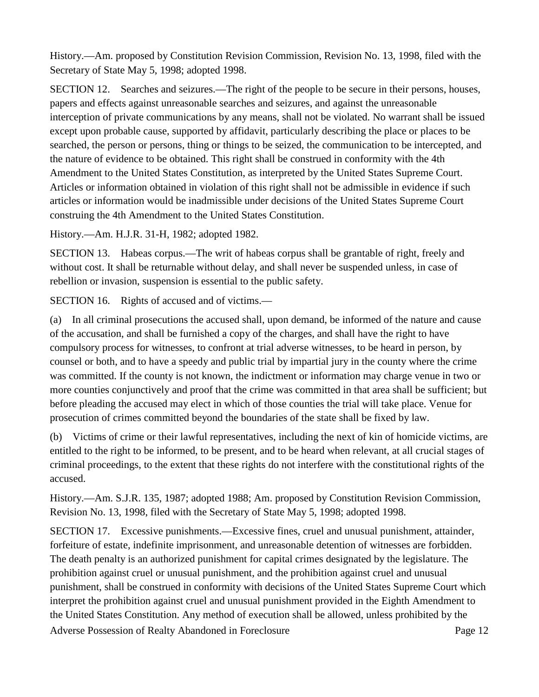History.—Am. proposed by Constitution Revision Commission, Revision No. 13, 1998, filed with the Secretary of State May 5, 1998; adopted 1998.

SECTION 12. Searches and seizures.—The right of the people to be secure in their persons, houses, papers and effects against unreasonable searches and seizures, and against the unreasonable interception of private communications by any means, shall not be violated. No warrant shall be issued except upon probable cause, supported by affidavit, particularly describing the place or places to be searched, the person or persons, thing or things to be seized, the communication to be intercepted, and the nature of evidence to be obtained. This right shall be construed in conformity with the 4th Amendment to the United States Constitution, as interpreted by the United States Supreme Court. Articles or information obtained in violation of this right shall not be admissible in evidence if such articles or information would be inadmissible under decisions of the United States Supreme Court construing the 4th Amendment to the United States Constitution.

History.—Am. H.J.R. 31-H, 1982; adopted 1982.

SECTION 13. Habeas corpus.—The writ of habeas corpus shall be grantable of right, freely and without cost. It shall be returnable without delay, and shall never be suspended unless, in case of rebellion or invasion, suspension is essential to the public safety.

SECTION 16. Rights of accused and of victims.—

(a) In all criminal prosecutions the accused shall, upon demand, be informed of the nature and cause of the accusation, and shall be furnished a copy of the charges, and shall have the right to have compulsory process for witnesses, to confront at trial adverse witnesses, to be heard in person, by counsel or both, and to have a speedy and public trial by impartial jury in the county where the crime was committed. If the county is not known, the indictment or information may charge venue in two or more counties conjunctively and proof that the crime was committed in that area shall be sufficient; but before pleading the accused may elect in which of those counties the trial will take place. Venue for prosecution of crimes committed beyond the boundaries of the state shall be fixed by law.

(b) Victims of crime or their lawful representatives, including the next of kin of homicide victims, are entitled to the right to be informed, to be present, and to be heard when relevant, at all crucial stages of criminal proceedings, to the extent that these rights do not interfere with the constitutional rights of the accused.

History.—Am. S.J.R. 135, 1987; adopted 1988; Am. proposed by Constitution Revision Commission, Revision No. 13, 1998, filed with the Secretary of State May 5, 1998; adopted 1998.

Adverse Possession of Realty Abandoned in Foreclosure Page 12 SECTION 17. Excessive punishments.—Excessive fines, cruel and unusual punishment, attainder, forfeiture of estate, indefinite imprisonment, and unreasonable detention of witnesses are forbidden. The death penalty is an authorized punishment for capital crimes designated by the legislature. The prohibition against cruel or unusual punishment, and the prohibition against cruel and unusual punishment, shall be construed in conformity with decisions of the United States Supreme Court which interpret the prohibition against cruel and unusual punishment provided in the Eighth Amendment to the United States Constitution. Any method of execution shall be allowed, unless prohibited by the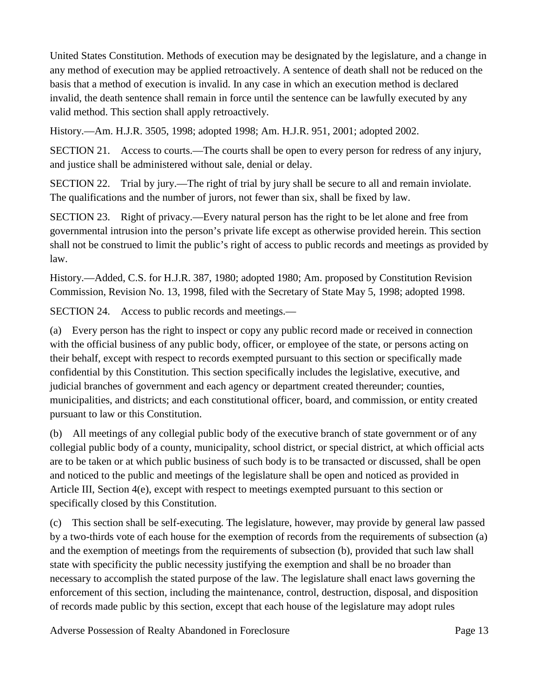United States Constitution. Methods of execution may be designated by the legislature, and a change in any method of execution may be applied retroactively. A sentence of death shall not be reduced on the basis that a method of execution is invalid. In any case in which an execution method is declared invalid, the death sentence shall remain in force until the sentence can be lawfully executed by any valid method. This section shall apply retroactively.

History.—Am. H.J.R. 3505, 1998; adopted 1998; Am. H.J.R. 951, 2001; adopted 2002.

SECTION 21. Access to courts.—The courts shall be open to every person for redress of any injury, and justice shall be administered without sale, denial or delay.

SECTION 22. Trial by jury.—The right of trial by jury shall be secure to all and remain inviolate. The qualifications and the number of jurors, not fewer than six, shall be fixed by law.

SECTION 23. Right of privacy.—Every natural person has the right to be let alone and free from governmental intrusion into the person's private life except as otherwise provided herein. This section shall not be construed to limit the public's right of access to public records and meetings as provided by law.

History.—Added, C.S. for H.J.R. 387, 1980; adopted 1980; Am. proposed by Constitution Revision Commission, Revision No. 13, 1998, filed with the Secretary of State May 5, 1998; adopted 1998.

SECTION 24. Access to public records and meetings.—

(a) Every person has the right to inspect or copy any public record made or received in connection with the official business of any public body, officer, or employee of the state, or persons acting on their behalf, except with respect to records exempted pursuant to this section or specifically made confidential by this Constitution. This section specifically includes the legislative, executive, and judicial branches of government and each agency or department created thereunder; counties, municipalities, and districts; and each constitutional officer, board, and commission, or entity created pursuant to law or this Constitution.

(b) All meetings of any collegial public body of the executive branch of state government or of any collegial public body of a county, municipality, school district, or special district, at which official acts are to be taken or at which public business of such body is to be transacted or discussed, shall be open and noticed to the public and meetings of the legislature shall be open and noticed as provided in Article III, Section 4(e), except with respect to meetings exempted pursuant to this section or specifically closed by this Constitution.

(c) This section shall be self-executing. The legislature, however, may provide by general law passed by a two-thirds vote of each house for the exemption of records from the requirements of subsection (a) and the exemption of meetings from the requirements of subsection (b), provided that such law shall state with specificity the public necessity justifying the exemption and shall be no broader than necessary to accomplish the stated purpose of the law. The legislature shall enact laws governing the enforcement of this section, including the maintenance, control, destruction, disposal, and disposition of records made public by this section, except that each house of the legislature may adopt rules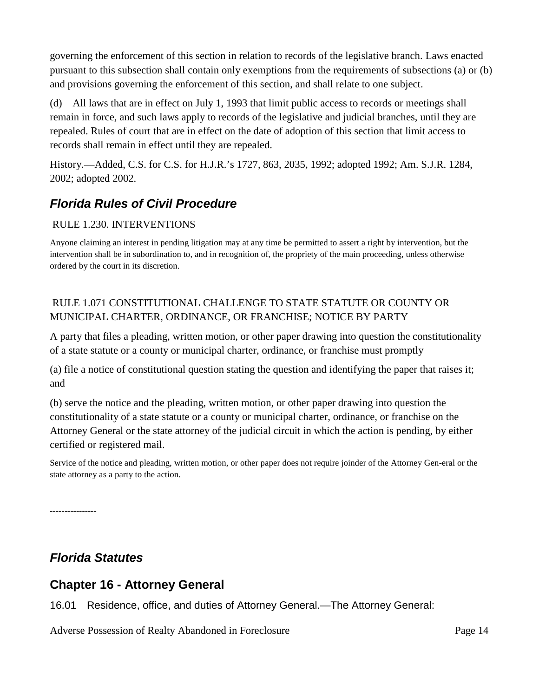governing the enforcement of this section in relation to records of the legislative branch. Laws enacted pursuant to this subsection shall contain only exemptions from the requirements of subsections (a) or (b) and provisions governing the enforcement of this section, and shall relate to one subject.

(d) All laws that are in effect on July 1, 1993 that limit public access to records or meetings shall remain in force, and such laws apply to records of the legislative and judicial branches, until they are repealed. Rules of court that are in effect on the date of adoption of this section that limit access to records shall remain in effect until they are repealed.

History.—Added, C.S. for C.S. for H.J.R.'s 1727, 863, 2035, 1992; adopted 1992; Am. S.J.R. 1284, 2002; adopted 2002.

#### *Florida Rules of Civil Procedure*

#### RULE 1.230. INTERVENTIONS

Anyone claiming an interest in pending litigation may at any time be permitted to assert a right by intervention, but the intervention shall be in subordination to, and in recognition of, the propriety of the main proceeding, unless otherwise ordered by the court in its discretion.

#### RULE 1.071 CONSTITUTIONAL CHALLENGE TO STATE STATUTE OR COUNTY OR MUNICIPAL CHARTER, ORDINANCE, OR FRANCHISE; NOTICE BY PARTY

A party that files a pleading, written motion, or other paper drawing into question the constitutionality of a state statute or a county or municipal charter, ordinance, or franchise must promptly

(a) file a notice of constitutional question stating the question and identifying the paper that raises it; and

(b) serve the notice and the pleading, written motion, or other paper drawing into question the constitutionality of a state statute or a county or municipal charter, ordinance, or franchise on the Attorney General or the state attorney of the judicial circuit in which the action is pending, by either certified or registered mail.

Service of the notice and pleading, written motion, or other paper does not require joinder of the Attorney Gen-eral or the state attorney as a party to the action.

----------------

#### *Florida Statutes*

#### **Chapter 16 - Attorney General**

16.01 Residence, office, and duties of Attorney General.—The Attorney General: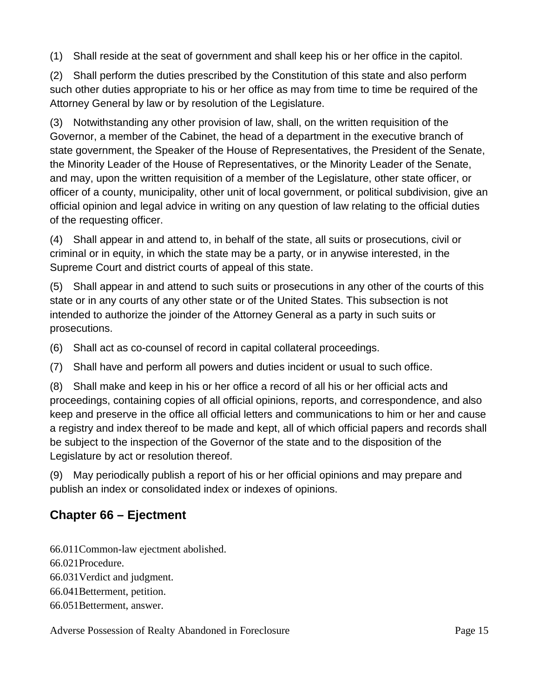(1) Shall reside at the seat of government and shall keep his or her office in the capitol.

(2) Shall perform the duties prescribed by the Constitution of this state and also perform such other duties appropriate to his or her office as may from time to time be required of the Attorney General by law or by resolution of the Legislature.

(3) Notwithstanding any other provision of law, shall, on the written requisition of the Governor, a member of the Cabinet, the head of a department in the executive branch of state government, the Speaker of the House of Representatives, the President of the Senate, the Minority Leader of the House of Representatives, or the Minority Leader of the Senate, and may, upon the written requisition of a member of the Legislature, other state officer, or officer of a county, municipality, other unit of local government, or political subdivision, give an official opinion and legal advice in writing on any question of law relating to the official duties of the requesting officer.

(4) Shall appear in and attend to, in behalf of the state, all suits or prosecutions, civil or criminal or in equity, in which the state may be a party, or in anywise interested, in the Supreme Court and district courts of appeal of this state.

(5) Shall appear in and attend to such suits or prosecutions in any other of the courts of this state or in any courts of any other state or of the United States. This subsection is not intended to authorize the joinder of the Attorney General as a party in such suits or prosecutions.

(6) Shall act as co-counsel of record in capital collateral proceedings.

(7) Shall have and perform all powers and duties incident or usual to such office.

(8) Shall make and keep in his or her office a record of all his or her official acts and proceedings, containing copies of all official opinions, reports, and correspondence, and also keep and preserve in the office all official letters and communications to him or her and cause a registry and index thereof to be made and kept, all of which official papers and records shall be subject to the inspection of the Governor of the state and to the disposition of the Legislature by act or resolution thereof.

(9) May periodically publish a report of his or her official opinions and may prepare and publish an index or consolidated index or indexes of opinions.

### **Chapter 66 – Ejectment**

66.011Common-law ejectment abolished. 66.021Procedure. 66.031Verdict and judgment. 66.041Betterment, petition. 66.051Betterment, answer.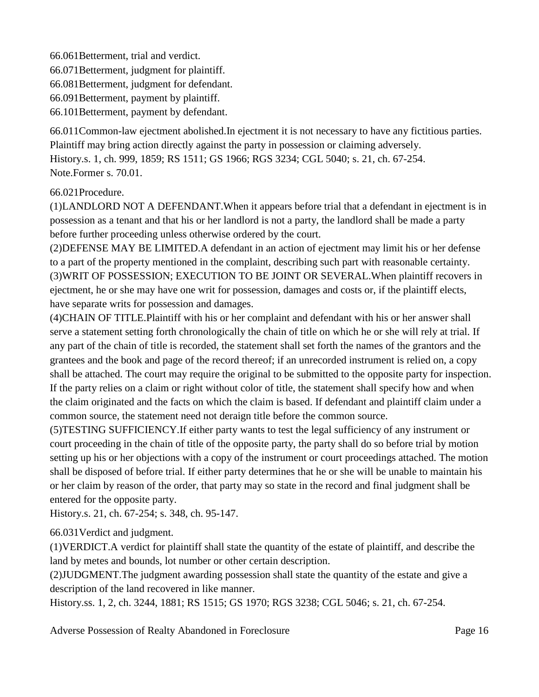66.061Betterment, trial and verdict. 66.071Betterment, judgment for plaintiff. 66.081Betterment, judgment for defendant. 66.091Betterment, payment by plaintiff. 66.101Betterment, payment by defendant.

66.011Common-law ejectment abolished.In ejectment it is not necessary to have any fictitious parties. Plaintiff may bring action directly against the party in possession or claiming adversely. History.s. 1, ch. 999, 1859; RS 1511; GS 1966; RGS 3234; CGL 5040; s. 21, ch. 67-254. Note.Former s. 70.01.

#### 66.021Procedure.

(1)LANDLORD NOT A DEFENDANT.When it appears before trial that a defendant in ejectment is in possession as a tenant and that his or her landlord is not a party, the landlord shall be made a party before further proceeding unless otherwise ordered by the court.

(2)DEFENSE MAY BE LIMITED.A defendant in an action of ejectment may limit his or her defense to a part of the property mentioned in the complaint, describing such part with reasonable certainty. (3)WRIT OF POSSESSION; EXECUTION TO BE JOINT OR SEVERAL.When plaintiff recovers in ejectment, he or she may have one writ for possession, damages and costs or, if the plaintiff elects, have separate writs for possession and damages.

(4)CHAIN OF TITLE.Plaintiff with his or her complaint and defendant with his or her answer shall serve a statement setting forth chronologically the chain of title on which he or she will rely at trial. If any part of the chain of title is recorded, the statement shall set forth the names of the grantors and the grantees and the book and page of the record thereof; if an unrecorded instrument is relied on, a copy shall be attached. The court may require the original to be submitted to the opposite party for inspection. If the party relies on a claim or right without color of title, the statement shall specify how and when the claim originated and the facts on which the claim is based. If defendant and plaintiff claim under a common source, the statement need not deraign title before the common source.

(5)TESTING SUFFICIENCY.If either party wants to test the legal sufficiency of any instrument or court proceeding in the chain of title of the opposite party, the party shall do so before trial by motion setting up his or her objections with a copy of the instrument or court proceedings attached. The motion shall be disposed of before trial. If either party determines that he or she will be unable to maintain his or her claim by reason of the order, that party may so state in the record and final judgment shall be entered for the opposite party.

History.s. 21, ch. 67-254; s. 348, ch. 95-147.

66.031Verdict and judgment.

(1)VERDICT.A verdict for plaintiff shall state the quantity of the estate of plaintiff, and describe the land by metes and bounds, lot number or other certain description.

(2)JUDGMENT.The judgment awarding possession shall state the quantity of the estate and give a description of the land recovered in like manner.

History.ss. 1, 2, ch. 3244, 1881; RS 1515; GS 1970; RGS 3238; CGL 5046; s. 21, ch. 67-254.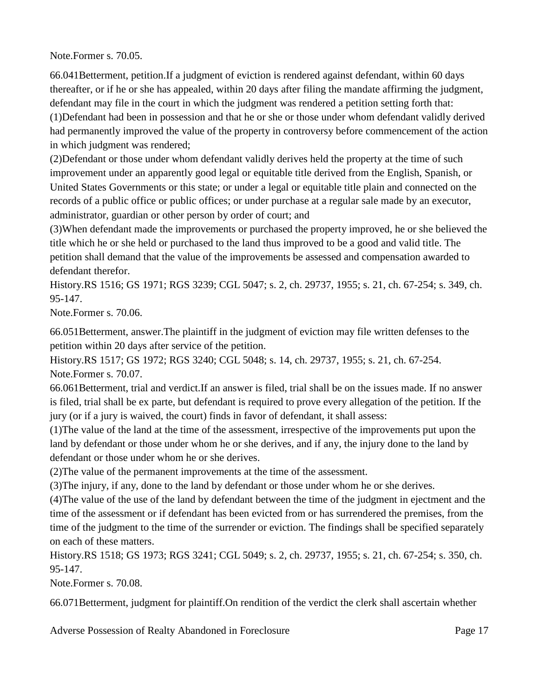Note.Former s. 70.05.

66.041Betterment, petition.If a judgment of eviction is rendered against defendant, within 60 days thereafter, or if he or she has appealed, within 20 days after filing the mandate affirming the judgment, defendant may file in the court in which the judgment was rendered a petition setting forth that: (1)Defendant had been in possession and that he or she or those under whom defendant validly derived had permanently improved the value of the property in controversy before commencement of the action in which judgment was rendered;

(2)Defendant or those under whom defendant validly derives held the property at the time of such improvement under an apparently good legal or equitable title derived from the English, Spanish, or United States Governments or this state; or under a legal or equitable title plain and connected on the records of a public office or public offices; or under purchase at a regular sale made by an executor, administrator, guardian or other person by order of court; and

(3)When defendant made the improvements or purchased the property improved, he or she believed the title which he or she held or purchased to the land thus improved to be a good and valid title. The petition shall demand that the value of the improvements be assessed and compensation awarded to defendant therefor.

History.RS 1516; GS 1971; RGS 3239; CGL 5047; s. 2, ch. 29737, 1955; s. 21, ch. 67-254; s. 349, ch. 95-147.

Note.Former s. 70.06.

66.051Betterment, answer.The plaintiff in the judgment of eviction may file written defenses to the petition within 20 days after service of the petition.

History.RS 1517; GS 1972; RGS 3240; CGL 5048; s. 14, ch. 29737, 1955; s. 21, ch. 67-254. Note.Former s. 70.07.

66.061Betterment, trial and verdict.If an answer is filed, trial shall be on the issues made. If no answer is filed, trial shall be ex parte, but defendant is required to prove every allegation of the petition. If the jury (or if a jury is waived, the court) finds in favor of defendant, it shall assess:

(1)The value of the land at the time of the assessment, irrespective of the improvements put upon the land by defendant or those under whom he or she derives, and if any, the injury done to the land by defendant or those under whom he or she derives.

(2)The value of the permanent improvements at the time of the assessment.

(3)The injury, if any, done to the land by defendant or those under whom he or she derives.

(4)The value of the use of the land by defendant between the time of the judgment in ejectment and the time of the assessment or if defendant has been evicted from or has surrendered the premises, from the time of the judgment to the time of the surrender or eviction. The findings shall be specified separately on each of these matters.

History.RS 1518; GS 1973; RGS 3241; CGL 5049; s. 2, ch. 29737, 1955; s. 21, ch. 67-254; s. 350, ch. 95-147.

Note.Former s. 70.08.

66.071Betterment, judgment for plaintiff.On rendition of the verdict the clerk shall ascertain whether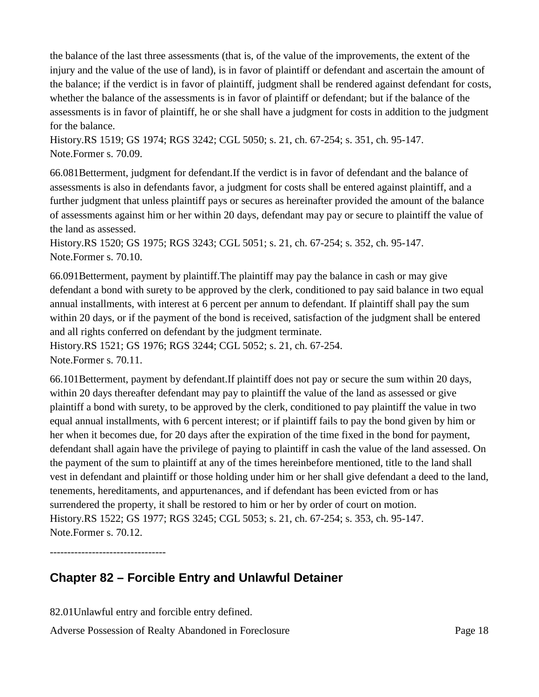the balance of the last three assessments (that is, of the value of the improvements, the extent of the injury and the value of the use of land), is in favor of plaintiff or defendant and ascertain the amount of the balance; if the verdict is in favor of plaintiff, judgment shall be rendered against defendant for costs, whether the balance of the assessments is in favor of plaintiff or defendant; but if the balance of the assessments is in favor of plaintiff, he or she shall have a judgment for costs in addition to the judgment for the balance.

History.RS 1519; GS 1974; RGS 3242; CGL 5050; s. 21, ch. 67-254; s. 351, ch. 95-147. Note.Former s. 70.09.

66.081Betterment, judgment for defendant.If the verdict is in favor of defendant and the balance of assessments is also in defendants favor, a judgment for costs shall be entered against plaintiff, and a further judgment that unless plaintiff pays or secures as hereinafter provided the amount of the balance of assessments against him or her within 20 days, defendant may pay or secure to plaintiff the value of the land as assessed.

History.RS 1520; GS 1975; RGS 3243; CGL 5051; s. 21, ch. 67-254; s. 352, ch. 95-147. Note.Former s. 70.10.

66.091Betterment, payment by plaintiff.The plaintiff may pay the balance in cash or may give defendant a bond with surety to be approved by the clerk, conditioned to pay said balance in two equal annual installments, with interest at 6 percent per annum to defendant. If plaintiff shall pay the sum within 20 days, or if the payment of the bond is received, satisfaction of the judgment shall be entered and all rights conferred on defendant by the judgment terminate.

History.RS 1521; GS 1976; RGS 3244; CGL 5052; s. 21, ch. 67-254.

Note.Former s. 70.11.

66.101Betterment, payment by defendant.If plaintiff does not pay or secure the sum within 20 days, within 20 days thereafter defendant may pay to plaintiff the value of the land as assessed or give plaintiff a bond with surety, to be approved by the clerk, conditioned to pay plaintiff the value in two equal annual installments, with 6 percent interest; or if plaintiff fails to pay the bond given by him or her when it becomes due, for 20 days after the expiration of the time fixed in the bond for payment, defendant shall again have the privilege of paying to plaintiff in cash the value of the land assessed. On the payment of the sum to plaintiff at any of the times hereinbefore mentioned, title to the land shall vest in defendant and plaintiff or those holding under him or her shall give defendant a deed to the land, tenements, hereditaments, and appurtenances, and if defendant has been evicted from or has surrendered the property, it shall be restored to him or her by order of court on motion. History.RS 1522; GS 1977; RGS 3245; CGL 5053; s. 21, ch. 67-254; s. 353, ch. 95-147. Note.Former s. 70.12.

---------------------------------

### **Chapter 82 – Forcible Entry and Unlawful Detainer**

82.01Unlawful entry and forcible entry defined.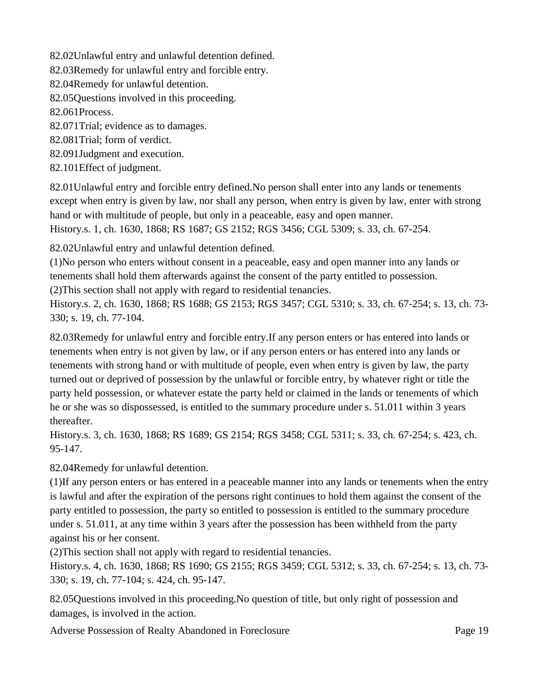82.02Unlawful entry and unlawful detention defined.

82.03Remedy for unlawful entry and forcible entry.

82.04Remedy for unlawful detention.

82.05Questions involved in this proceeding.

82.061Process.

82.071Trial; evidence as to damages.

82.081Trial; form of verdict.

82.091Judgment and execution.

82.101Effect of judgment.

82.01Unlawful entry and forcible entry defined.No person shall enter into any lands or tenements except when entry is given by law, nor shall any person, when entry is given by law, enter with strong hand or with multitude of people, but only in a peaceable, easy and open manner. History.s. 1, ch. 1630, 1868; RS 1687; GS 2152; RGS 3456; CGL 5309; s. 33, ch. 67-254.

82.02Unlawful entry and unlawful detention defined.

(1)No person who enters without consent in a peaceable, easy and open manner into any lands or tenements shall hold them afterwards against the consent of the party entitled to possession. (2)This section shall not apply with regard to residential tenancies.

History.s. 2, ch. 1630, 1868; RS 1688; GS 2153; RGS 3457; CGL 5310; s. 33, ch. 67-254; s. 13, ch. 73- 330; s. 19, ch. 77-104.

82.03Remedy for unlawful entry and forcible entry.If any person enters or has entered into lands or tenements when entry is not given by law, or if any person enters or has entered into any lands or tenements with strong hand or with multitude of people, even when entry is given by law, the party turned out or deprived of possession by the unlawful or forcible entry, by whatever right or title the party held possession, or whatever estate the party held or claimed in the lands or tenements of which he or she was so dispossessed, is entitled to the summary procedure under s. 51.011 within 3 years thereafter.

History.s. 3, ch. 1630, 1868; RS 1689; GS 2154; RGS 3458; CGL 5311; s. 33, ch. 67-254; s. 423, ch. 95-147.

82.04Remedy for unlawful detention.

(1)If any person enters or has entered in a peaceable manner into any lands or tenements when the entry is lawful and after the expiration of the persons right continues to hold them against the consent of the party entitled to possession, the party so entitled to possession is entitled to the summary procedure under s. 51.011, at any time within 3 years after the possession has been withheld from the party against his or her consent.

(2)This section shall not apply with regard to residential tenancies.

History.s. 4, ch. 1630, 1868; RS 1690; GS 2155; RGS 3459; CGL 5312; s. 33, ch. 67-254; s. 13, ch. 73- 330; s. 19, ch. 77-104; s. 424, ch. 95-147.

82.05Questions involved in this proceeding.No question of title, but only right of possession and damages, is involved in the action.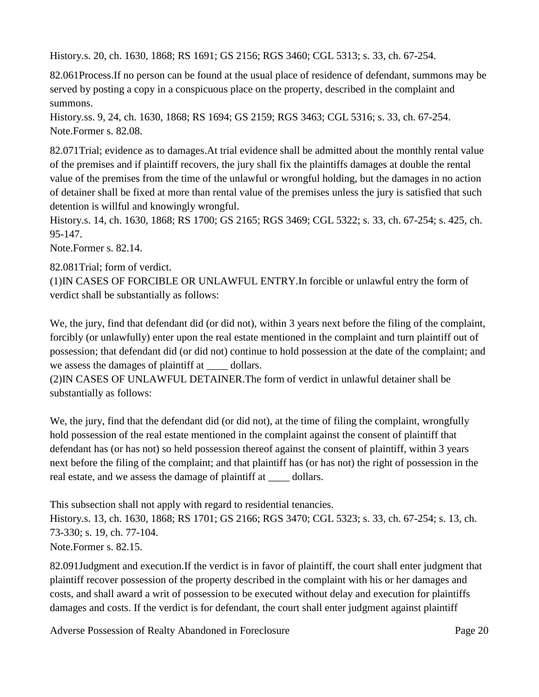History.s. 20, ch. 1630, 1868; RS 1691; GS 2156; RGS 3460; CGL 5313; s. 33, ch. 67-254.

82.061Process.If no person can be found at the usual place of residence of defendant, summons may be served by posting a copy in a conspicuous place on the property, described in the complaint and summons.

History.ss. 9, 24, ch. 1630, 1868; RS 1694; GS 2159; RGS 3463; CGL 5316; s. 33, ch. 67-254. Note.Former s. 82.08.

82.071Trial; evidence as to damages.At trial evidence shall be admitted about the monthly rental value of the premises and if plaintiff recovers, the jury shall fix the plaintiffs damages at double the rental value of the premises from the time of the unlawful or wrongful holding, but the damages in no action of detainer shall be fixed at more than rental value of the premises unless the jury is satisfied that such detention is willful and knowingly wrongful.

History.s. 14, ch. 1630, 1868; RS 1700; GS 2165; RGS 3469; CGL 5322; s. 33, ch. 67-254; s. 425, ch. 95-147.

Note.Former s. 82.14.

82.081Trial; form of verdict.

(1)IN CASES OF FORCIBLE OR UNLAWFUL ENTRY.In forcible or unlawful entry the form of verdict shall be substantially as follows:

We, the jury, find that defendant did (or did not), within 3 years next before the filing of the complaint, forcibly (or unlawfully) enter upon the real estate mentioned in the complaint and turn plaintiff out of possession; that defendant did (or did not) continue to hold possession at the date of the complaint; and we assess the damages of plaintiff at \_\_\_\_\_ dollars.

(2)IN CASES OF UNLAWFUL DETAINER.The form of verdict in unlawful detainer shall be substantially as follows:

We, the jury, find that the defendant did (or did not), at the time of filing the complaint, wrongfully hold possession of the real estate mentioned in the complaint against the consent of plaintiff that defendant has (or has not) so held possession thereof against the consent of plaintiff, within 3 years next before the filing of the complaint; and that plaintiff has (or has not) the right of possession in the real estate, and we assess the damage of plaintiff at \_\_\_\_ dollars.

This subsection shall not apply with regard to residential tenancies.

History.s. 13, ch. 1630, 1868; RS 1701; GS 2166; RGS 3470; CGL 5323; s. 33, ch. 67-254; s. 13, ch. 73-330; s. 19, ch. 77-104.

Note.Former s. 82.15.

82.091Judgment and execution.If the verdict is in favor of plaintiff, the court shall enter judgment that plaintiff recover possession of the property described in the complaint with his or her damages and costs, and shall award a writ of possession to be executed without delay and execution for plaintiffs damages and costs. If the verdict is for defendant, the court shall enter judgment against plaintiff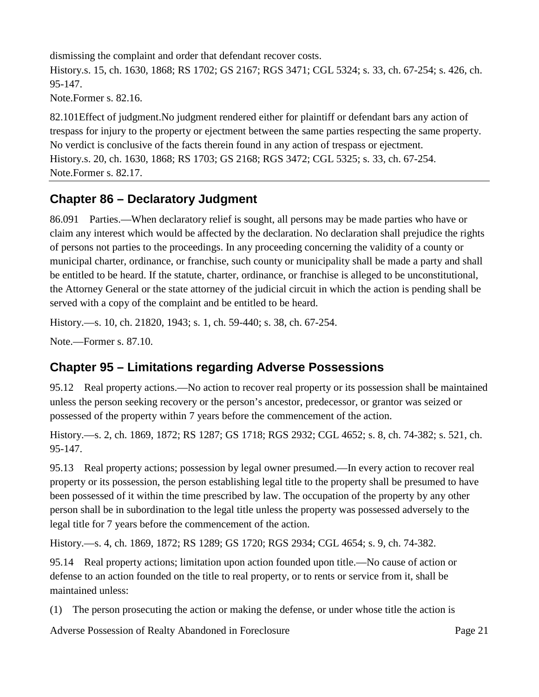dismissing the complaint and order that defendant recover costs. History.s. 15, ch. 1630, 1868; RS 1702; GS 2167; RGS 3471; CGL 5324; s. 33, ch. 67-254; s. 426, ch. 95-147.

Note.Former s. 82.16.

82.101Effect of judgment.No judgment rendered either for plaintiff or defendant bars any action of trespass for injury to the property or ejectment between the same parties respecting the same property. No verdict is conclusive of the facts therein found in any action of trespass or ejectment. History.s. 20, ch. 1630, 1868; RS 1703; GS 2168; RGS 3472; CGL 5325; s. 33, ch. 67-254. Note.Former s. 82.17.

## **Chapter 86 – Declaratory Judgment**

86.091 Parties.—When declaratory relief is sought, all persons may be made parties who have or claim any interest which would be affected by the declaration. No declaration shall prejudice the rights of persons not parties to the proceedings. In any proceeding concerning the validity of a county or municipal charter, ordinance, or franchise, such county or municipality shall be made a party and shall be entitled to be heard. If the statute, charter, ordinance, or franchise is alleged to be unconstitutional, the Attorney General or the state attorney of the judicial circuit in which the action is pending shall be served with a copy of the complaint and be entitled to be heard.

History.—s. 10, ch. 21820, 1943; s. 1, ch. 59-440; s. 38, ch. 67-254.

Note.—Former s. 87.10.

## **Chapter 95 – Limitations regarding Adverse Possessions**

95.12 Real property actions.—No action to recover real property or its possession shall be maintained unless the person seeking recovery or the person's ancestor, predecessor, or grantor was seized or possessed of the property within 7 years before the commencement of the action.

History.—s. 2, ch. 1869, 1872; RS 1287; GS 1718; RGS 2932; CGL 4652; s. 8, ch. 74-382; s. 521, ch. 95-147.

95.13 Real property actions; possession by legal owner presumed.—In every action to recover real property or its possession, the person establishing legal title to the property shall be presumed to have been possessed of it within the time prescribed by law. The occupation of the property by any other person shall be in subordination to the legal title unless the property was possessed adversely to the legal title for 7 years before the commencement of the action.

History.—s. 4, ch. 1869, 1872; RS 1289; GS 1720; RGS 2934; CGL 4654; s. 9, ch. 74-382.

95.14 Real property actions; limitation upon action founded upon title.—No cause of action or defense to an action founded on the title to real property, or to rents or service from it, shall be maintained unless:

(1) The person prosecuting the action or making the defense, or under whose title the action is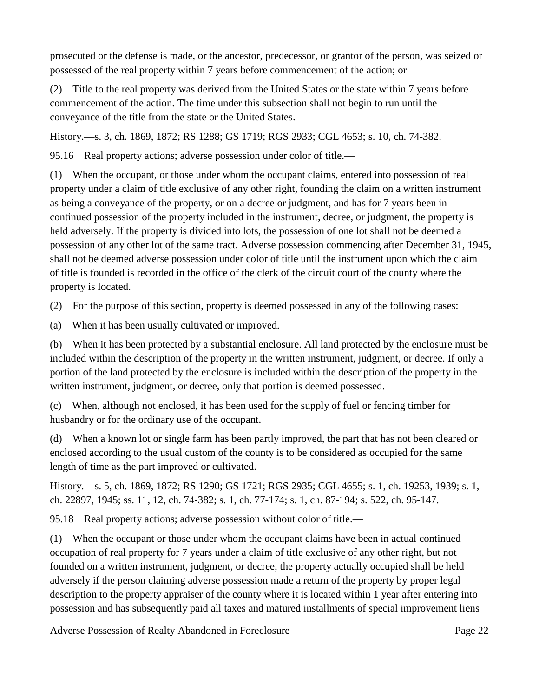prosecuted or the defense is made, or the ancestor, predecessor, or grantor of the person, was seized or possessed of the real property within 7 years before commencement of the action; or

(2) Title to the real property was derived from the United States or the state within 7 years before commencement of the action. The time under this subsection shall not begin to run until the conveyance of the title from the state or the United States.

History.—s. 3, ch. 1869, 1872; RS 1288; GS 1719; RGS 2933; CGL 4653; s. 10, ch. 74-382.

95.16 Real property actions; adverse possession under color of title.—

(1) When the occupant, or those under whom the occupant claims, entered into possession of real property under a claim of title exclusive of any other right, founding the claim on a written instrument as being a conveyance of the property, or on a decree or judgment, and has for 7 years been in continued possession of the property included in the instrument, decree, or judgment, the property is held adversely. If the property is divided into lots, the possession of one lot shall not be deemed a possession of any other lot of the same tract. Adverse possession commencing after December 31, 1945, shall not be deemed adverse possession under color of title until the instrument upon which the claim of title is founded is recorded in the office of the clerk of the circuit court of the county where the property is located.

(2) For the purpose of this section, property is deemed possessed in any of the following cases:

(a) When it has been usually cultivated or improved.

(b) When it has been protected by a substantial enclosure. All land protected by the enclosure must be included within the description of the property in the written instrument, judgment, or decree. If only a portion of the land protected by the enclosure is included within the description of the property in the written instrument, judgment, or decree, only that portion is deemed possessed.

(c) When, although not enclosed, it has been used for the supply of fuel or fencing timber for husbandry or for the ordinary use of the occupant.

(d) When a known lot or single farm has been partly improved, the part that has not been cleared or enclosed according to the usual custom of the county is to be considered as occupied for the same length of time as the part improved or cultivated.

History.—s. 5, ch. 1869, 1872; RS 1290; GS 1721; RGS 2935; CGL 4655; s. 1, ch. 19253, 1939; s. 1, ch. 22897, 1945; ss. 11, 12, ch. 74-382; s. 1, ch. 77-174; s. 1, ch. 87-194; s. 522, ch. 95-147.

95.18 Real property actions; adverse possession without color of title.—

(1) When the occupant or those under whom the occupant claims have been in actual continued occupation of real property for 7 years under a claim of title exclusive of any other right, but not founded on a written instrument, judgment, or decree, the property actually occupied shall be held adversely if the person claiming adverse possession made a return of the property by proper legal description to the property appraiser of the county where it is located within 1 year after entering into possession and has subsequently paid all taxes and matured installments of special improvement liens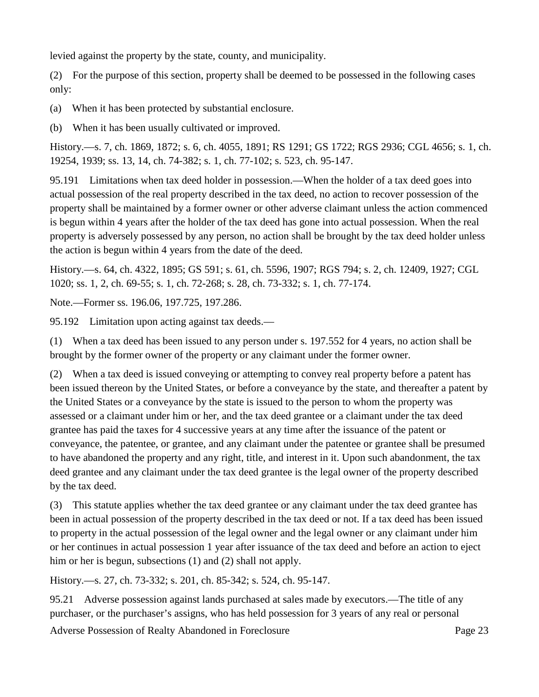levied against the property by the state, county, and municipality.

(2) For the purpose of this section, property shall be deemed to be possessed in the following cases only:

(a) When it has been protected by substantial enclosure.

(b) When it has been usually cultivated or improved.

History.—s. 7, ch. 1869, 1872; s. 6, ch. 4055, 1891; RS 1291; GS 1722; RGS 2936; CGL 4656; s. 1, ch. 19254, 1939; ss. 13, 14, ch. 74-382; s. 1, ch. 77-102; s. 523, ch. 95-147.

95.191 Limitations when tax deed holder in possession.—When the holder of a tax deed goes into actual possession of the real property described in the tax deed, no action to recover possession of the property shall be maintained by a former owner or other adverse claimant unless the action commenced is begun within 4 years after the holder of the tax deed has gone into actual possession. When the real property is adversely possessed by any person, no action shall be brought by the tax deed holder unless the action is begun within 4 years from the date of the deed.

History.—s. 64, ch. 4322, 1895; GS 591; s. 61, ch. 5596, 1907; RGS 794; s. 2, ch. 12409, 1927; CGL 1020; ss. 1, 2, ch. 69-55; s. 1, ch. 72-268; s. 28, ch. 73-332; s. 1, ch. 77-174.

Note.—Former ss. 196.06, 197.725, 197.286.

95.192 Limitation upon acting against tax deeds.—

(1) When a tax deed has been issued to any person under s. 197.552 for 4 years, no action shall be brought by the former owner of the property or any claimant under the former owner.

(2) When a tax deed is issued conveying or attempting to convey real property before a patent has been issued thereon by the United States, or before a conveyance by the state, and thereafter a patent by the United States or a conveyance by the state is issued to the person to whom the property was assessed or a claimant under him or her, and the tax deed grantee or a claimant under the tax deed grantee has paid the taxes for 4 successive years at any time after the issuance of the patent or conveyance, the patentee, or grantee, and any claimant under the patentee or grantee shall be presumed to have abandoned the property and any right, title, and interest in it. Upon such abandonment, the tax deed grantee and any claimant under the tax deed grantee is the legal owner of the property described by the tax deed.

(3) This statute applies whether the tax deed grantee or any claimant under the tax deed grantee has been in actual possession of the property described in the tax deed or not. If a tax deed has been issued to property in the actual possession of the legal owner and the legal owner or any claimant under him or her continues in actual possession 1 year after issuance of the tax deed and before an action to eject him or her is begun, subsections (1) and (2) shall not apply.

History.—s. 27, ch. 73-332; s. 201, ch. 85-342; s. 524, ch. 95-147.

Adverse Possession of Realty Abandoned in Foreclosure Page 23 95.21 Adverse possession against lands purchased at sales made by executors.—The title of any purchaser, or the purchaser's assigns, who has held possession for 3 years of any real or personal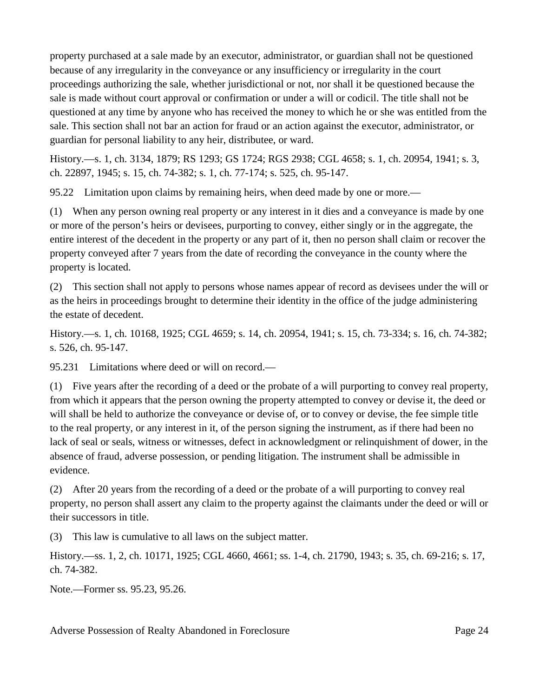property purchased at a sale made by an executor, administrator, or guardian shall not be questioned because of any irregularity in the conveyance or any insufficiency or irregularity in the court proceedings authorizing the sale, whether jurisdictional or not, nor shall it be questioned because the sale is made without court approval or confirmation or under a will or codicil. The title shall not be questioned at any time by anyone who has received the money to which he or she was entitled from the sale. This section shall not bar an action for fraud or an action against the executor, administrator, or guardian for personal liability to any heir, distributee, or ward.

History.—s. 1, ch. 3134, 1879; RS 1293; GS 1724; RGS 2938; CGL 4658; s. 1, ch. 20954, 1941; s. 3, ch. 22897, 1945; s. 15, ch. 74-382; s. 1, ch. 77-174; s. 525, ch. 95-147.

95.22 Limitation upon claims by remaining heirs, when deed made by one or more.—

(1) When any person owning real property or any interest in it dies and a conveyance is made by one or more of the person's heirs or devisees, purporting to convey, either singly or in the aggregate, the entire interest of the decedent in the property or any part of it, then no person shall claim or recover the property conveyed after 7 years from the date of recording the conveyance in the county where the property is located.

(2) This section shall not apply to persons whose names appear of record as devisees under the will or as the heirs in proceedings brought to determine their identity in the office of the judge administering the estate of decedent.

History.—s. 1, ch. 10168, 1925; CGL 4659; s. 14, ch. 20954, 1941; s. 15, ch. 73-334; s. 16, ch. 74-382; s. 526, ch. 95-147.

95.231 Limitations where deed or will on record.—

(1) Five years after the recording of a deed or the probate of a will purporting to convey real property, from which it appears that the person owning the property attempted to convey or devise it, the deed or will shall be held to authorize the conveyance or devise of, or to convey or devise, the fee simple title to the real property, or any interest in it, of the person signing the instrument, as if there had been no lack of seal or seals, witness or witnesses, defect in acknowledgment or relinquishment of dower, in the absence of fraud, adverse possession, or pending litigation. The instrument shall be admissible in evidence.

(2) After 20 years from the recording of a deed or the probate of a will purporting to convey real property, no person shall assert any claim to the property against the claimants under the deed or will or their successors in title.

(3) This law is cumulative to all laws on the subject matter.

History.—ss. 1, 2, ch. 10171, 1925; CGL 4660, 4661; ss. 1-4, ch. 21790, 1943; s. 35, ch. 69-216; s. 17, ch. 74-382.

Note.—Former ss. 95.23, 95.26.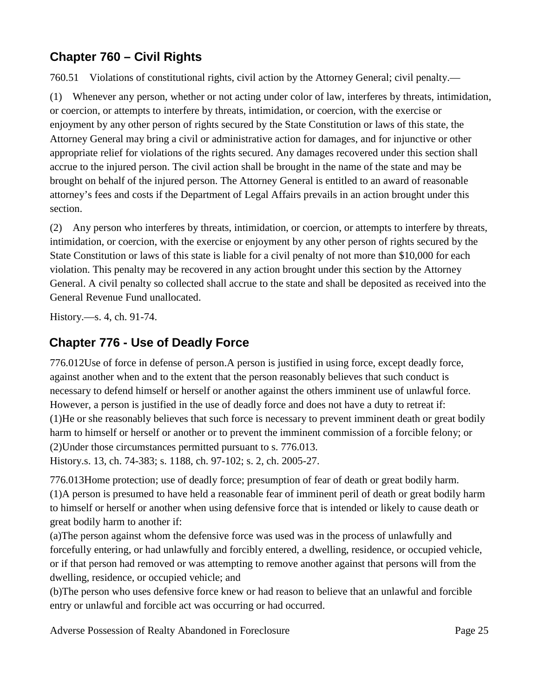## **Chapter 760 – Civil Rights**

760.51 Violations of constitutional rights, civil action by the Attorney General; civil penalty.—

(1) Whenever any person, whether or not acting under color of law, interferes by threats, intimidation, or coercion, or attempts to interfere by threats, intimidation, or coercion, with the exercise or enjoyment by any other person of rights secured by the State Constitution or laws of this state, the Attorney General may bring a civil or administrative action for damages, and for injunctive or other appropriate relief for violations of the rights secured. Any damages recovered under this section shall accrue to the injured person. The civil action shall be brought in the name of the state and may be brought on behalf of the injured person. The Attorney General is entitled to an award of reasonable attorney's fees and costs if the Department of Legal Affairs prevails in an action brought under this section.

(2) Any person who interferes by threats, intimidation, or coercion, or attempts to interfere by threats, intimidation, or coercion, with the exercise or enjoyment by any other person of rights secured by the State Constitution or laws of this state is liable for a civil penalty of not more than \$10,000 for each violation. This penalty may be recovered in any action brought under this section by the Attorney General. A civil penalty so collected shall accrue to the state and shall be deposited as received into the General Revenue Fund unallocated.

History.—s. 4, ch. 91-74.

#### **Chapter 776 - Use of Deadly Force**

776.012Use of force in defense of person.A person is justified in using force, except deadly force, against another when and to the extent that the person reasonably believes that such conduct is necessary to defend himself or herself or another against the others imminent use of unlawful force. However, a person is justified in the use of deadly force and does not have a duty to retreat if: (1)He or she reasonably believes that such force is necessary to prevent imminent death or great bodily harm to himself or herself or another or to prevent the imminent commission of a forcible felony; or (2)Under those circumstances permitted pursuant to s. 776.013. History.s. 13, ch. 74-383; s. 1188, ch. 97-102; s. 2, ch. 2005-27.

776.013Home protection; use of deadly force; presumption of fear of death or great bodily harm. (1)A person is presumed to have held a reasonable fear of imminent peril of death or great bodily harm to himself or herself or another when using defensive force that is intended or likely to cause death or great bodily harm to another if:

(a)The person against whom the defensive force was used was in the process of unlawfully and forcefully entering, or had unlawfully and forcibly entered, a dwelling, residence, or occupied vehicle, or if that person had removed or was attempting to remove another against that persons will from the dwelling, residence, or occupied vehicle; and

(b)The person who uses defensive force knew or had reason to believe that an unlawful and forcible entry or unlawful and forcible act was occurring or had occurred.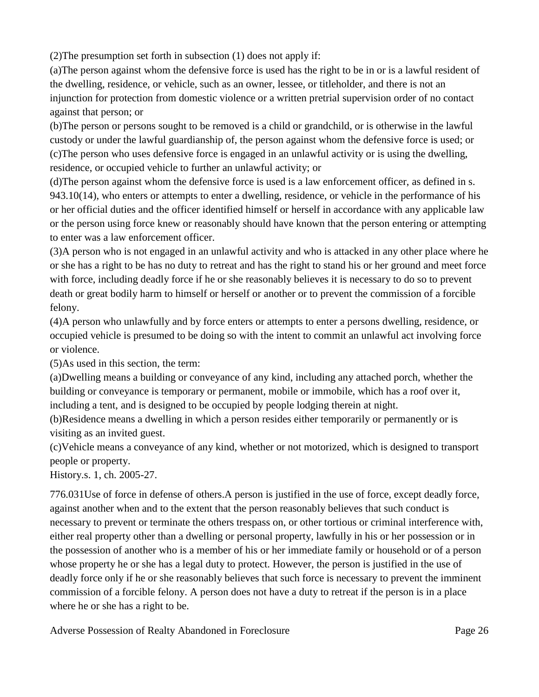(2)The presumption set forth in subsection (1) does not apply if:

(a)The person against whom the defensive force is used has the right to be in or is a lawful resident of the dwelling, residence, or vehicle, such as an owner, lessee, or titleholder, and there is not an injunction for protection from domestic violence or a written pretrial supervision order of no contact against that person; or

(b)The person or persons sought to be removed is a child or grandchild, or is otherwise in the lawful custody or under the lawful guardianship of, the person against whom the defensive force is used; or (c)The person who uses defensive force is engaged in an unlawful activity or is using the dwelling, residence, or occupied vehicle to further an unlawful activity; or

(d)The person against whom the defensive force is used is a law enforcement officer, as defined in s. 943.10(14), who enters or attempts to enter a dwelling, residence, or vehicle in the performance of his or her official duties and the officer identified himself or herself in accordance with any applicable law or the person using force knew or reasonably should have known that the person entering or attempting to enter was a law enforcement officer.

(3)A person who is not engaged in an unlawful activity and who is attacked in any other place where he or she has a right to be has no duty to retreat and has the right to stand his or her ground and meet force with force, including deadly force if he or she reasonably believes it is necessary to do so to prevent death or great bodily harm to himself or herself or another or to prevent the commission of a forcible felony.

(4)A person who unlawfully and by force enters or attempts to enter a persons dwelling, residence, or occupied vehicle is presumed to be doing so with the intent to commit an unlawful act involving force or violence.

(5)As used in this section, the term:

(a)Dwelling means a building or conveyance of any kind, including any attached porch, whether the building or conveyance is temporary or permanent, mobile or immobile, which has a roof over it, including a tent, and is designed to be occupied by people lodging therein at night.

(b)Residence means a dwelling in which a person resides either temporarily or permanently or is visiting as an invited guest.

(c)Vehicle means a conveyance of any kind, whether or not motorized, which is designed to transport people or property.

History.s. 1, ch. 2005-27.

776.031Use of force in defense of others.A person is justified in the use of force, except deadly force, against another when and to the extent that the person reasonably believes that such conduct is necessary to prevent or terminate the others trespass on, or other tortious or criminal interference with, either real property other than a dwelling or personal property, lawfully in his or her possession or in the possession of another who is a member of his or her immediate family or household or of a person whose property he or she has a legal duty to protect. However, the person is justified in the use of deadly force only if he or she reasonably believes that such force is necessary to prevent the imminent commission of a forcible felony. A person does not have a duty to retreat if the person is in a place where he or she has a right to be.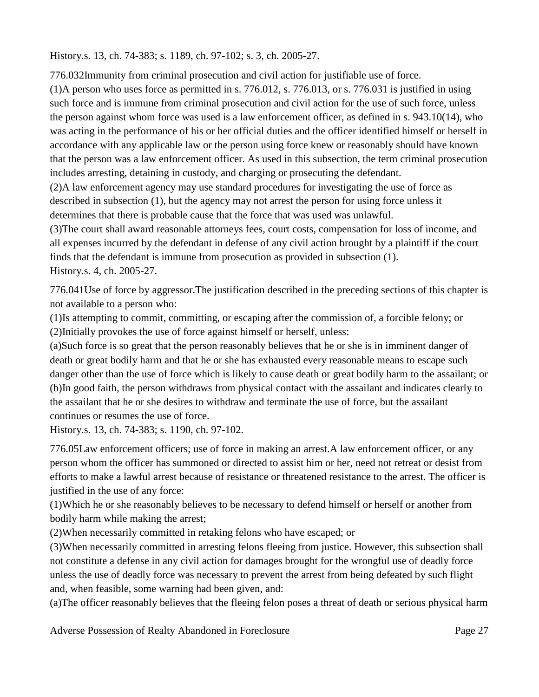History.s. 13, ch. 74-383; s. 1189, ch. 97-102; s. 3, ch. 2005-27.

776.032Immunity from criminal prosecution and civil action for justifiable use of force. (1)A person who uses force as permitted in s. 776.012, s. 776.013, or s. 776.031 is justified in using such force and is immune from criminal prosecution and civil action for the use of such force, unless the person against whom force was used is a law enforcement officer, as defined in s. 943.10(14), who was acting in the performance of his or her official duties and the officer identified himself or herself in accordance with any applicable law or the person using force knew or reasonably should have known that the person was a law enforcement officer. As used in this subsection, the term criminal prosecution includes arresting, detaining in custody, and charging or prosecuting the defendant.

(2)A law enforcement agency may use standard procedures for investigating the use of force as described in subsection (1), but the agency may not arrest the person for using force unless it determines that there is probable cause that the force that was used was unlawful.

(3)The court shall award reasonable attorneys fees, court costs, compensation for loss of income, and all expenses incurred by the defendant in defense of any civil action brought by a plaintiff if the court finds that the defendant is immune from prosecution as provided in subsection (1). History.s. 4, ch. 2005-27.

776.041Use of force by aggressor.The justification described in the preceding sections of this chapter is not available to a person who:

(1)Is attempting to commit, committing, or escaping after the commission of, a forcible felony; or (2)Initially provokes the use of force against himself or herself, unless:

(a)Such force is so great that the person reasonably believes that he or she is in imminent danger of death or great bodily harm and that he or she has exhausted every reasonable means to escape such danger other than the use of force which is likely to cause death or great bodily harm to the assailant; or (b)In good faith, the person withdraws from physical contact with the assailant and indicates clearly to the assailant that he or she desires to withdraw and terminate the use of force, but the assailant continues or resumes the use of force.

History.s. 13, ch. 74-383; s. 1190, ch. 97-102.

776.05Law enforcement officers; use of force in making an arrest.A law enforcement officer, or any person whom the officer has summoned or directed to assist him or her, need not retreat or desist from efforts to make a lawful arrest because of resistance or threatened resistance to the arrest. The officer is justified in the use of any force:

(1)Which he or she reasonably believes to be necessary to defend himself or herself or another from bodily harm while making the arrest;

(2)When necessarily committed in retaking felons who have escaped; or

(3)When necessarily committed in arresting felons fleeing from justice. However, this subsection shall not constitute a defense in any civil action for damages brought for the wrongful use of deadly force unless the use of deadly force was necessary to prevent the arrest from being defeated by such flight and, when feasible, some warning had been given, and:

(a)The officer reasonably believes that the fleeing felon poses a threat of death or serious physical harm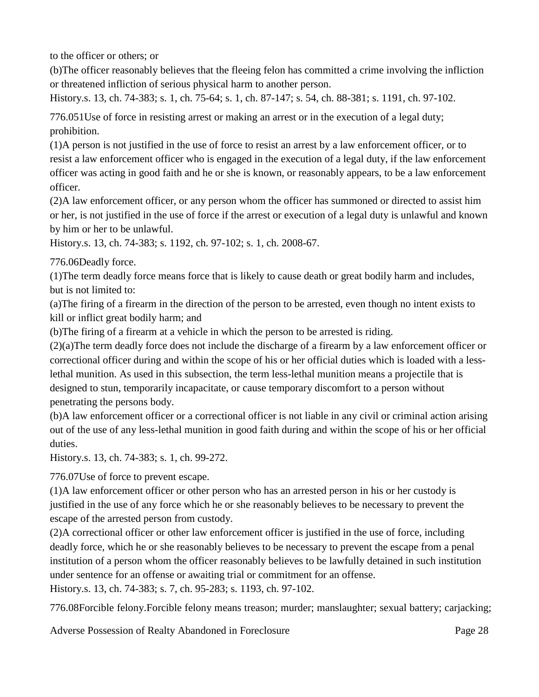to the officer or others; or

(b)The officer reasonably believes that the fleeing felon has committed a crime involving the infliction or threatened infliction of serious physical harm to another person.

History.s. 13, ch. 74-383; s. 1, ch. 75-64; s. 1, ch. 87-147; s. 54, ch. 88-381; s. 1191, ch. 97-102.

776.051Use of force in resisting arrest or making an arrest or in the execution of a legal duty; prohibition.

(1)A person is not justified in the use of force to resist an arrest by a law enforcement officer, or to resist a law enforcement officer who is engaged in the execution of a legal duty, if the law enforcement officer was acting in good faith and he or she is known, or reasonably appears, to be a law enforcement officer.

(2)A law enforcement officer, or any person whom the officer has summoned or directed to assist him or her, is not justified in the use of force if the arrest or execution of a legal duty is unlawful and known by him or her to be unlawful.

History.s. 13, ch. 74-383; s. 1192, ch. 97-102; s. 1, ch. 2008-67.

776.06Deadly force.

(1)The term deadly force means force that is likely to cause death or great bodily harm and includes, but is not limited to:

(a)The firing of a firearm in the direction of the person to be arrested, even though no intent exists to kill or inflict great bodily harm; and

(b)The firing of a firearm at a vehicle in which the person to be arrested is riding.

(2)(a)The term deadly force does not include the discharge of a firearm by a law enforcement officer or correctional officer during and within the scope of his or her official duties which is loaded with a lesslethal munition. As used in this subsection, the term less-lethal munition means a projectile that is designed to stun, temporarily incapacitate, or cause temporary discomfort to a person without penetrating the persons body.

(b)A law enforcement officer or a correctional officer is not liable in any civil or criminal action arising out of the use of any less-lethal munition in good faith during and within the scope of his or her official duties.

History.s. 13, ch. 74-383; s. 1, ch. 99-272.

776.07Use of force to prevent escape.

(1)A law enforcement officer or other person who has an arrested person in his or her custody is justified in the use of any force which he or she reasonably believes to be necessary to prevent the escape of the arrested person from custody.

(2)A correctional officer or other law enforcement officer is justified in the use of force, including deadly force, which he or she reasonably believes to be necessary to prevent the escape from a penal institution of a person whom the officer reasonably believes to be lawfully detained in such institution under sentence for an offense or awaiting trial or commitment for an offense.

History.s. 13, ch. 74-383; s. 7, ch. 95-283; s. 1193, ch. 97-102.

776.08Forcible felony.Forcible felony means treason; murder; manslaughter; sexual battery; carjacking;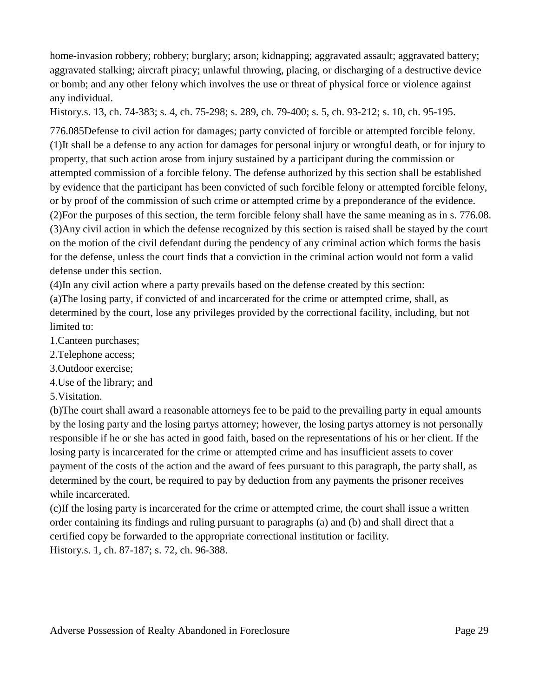home-invasion robbery; robbery; burglary; arson; kidnapping; aggravated assault; aggravated battery; aggravated stalking; aircraft piracy; unlawful throwing, placing, or discharging of a destructive device or bomb; and any other felony which involves the use or threat of physical force or violence against any individual.

History.s. 13, ch. 74-383; s. 4, ch. 75-298; s. 289, ch. 79-400; s. 5, ch. 93-212; s. 10, ch. 95-195.

776.085Defense to civil action for damages; party convicted of forcible or attempted forcible felony. (1)It shall be a defense to any action for damages for personal injury or wrongful death, or for injury to property, that such action arose from injury sustained by a participant during the commission or attempted commission of a forcible felony. The defense authorized by this section shall be established by evidence that the participant has been convicted of such forcible felony or attempted forcible felony, or by proof of the commission of such crime or attempted crime by a preponderance of the evidence. (2)For the purposes of this section, the term forcible felony shall have the same meaning as in s. 776.08. (3)Any civil action in which the defense recognized by this section is raised shall be stayed by the court on the motion of the civil defendant during the pendency of any criminal action which forms the basis for the defense, unless the court finds that a conviction in the criminal action would not form a valid defense under this section.

(4)In any civil action where a party prevails based on the defense created by this section: (a)The losing party, if convicted of and incarcerated for the crime or attempted crime, shall, as determined by the court, lose any privileges provided by the correctional facility, including, but not limited to:

1.Canteen purchases;

- 2.Telephone access;
- 3.Outdoor exercise;
- 4.Use of the library; and

5.Visitation.

(b)The court shall award a reasonable attorneys fee to be paid to the prevailing party in equal amounts by the losing party and the losing partys attorney; however, the losing partys attorney is not personally responsible if he or she has acted in good faith, based on the representations of his or her client. If the losing party is incarcerated for the crime or attempted crime and has insufficient assets to cover payment of the costs of the action and the award of fees pursuant to this paragraph, the party shall, as determined by the court, be required to pay by deduction from any payments the prisoner receives while incarcerated.

(c)If the losing party is incarcerated for the crime or attempted crime, the court shall issue a written order containing its findings and ruling pursuant to paragraphs (a) and (b) and shall direct that a certified copy be forwarded to the appropriate correctional institution or facility. History.s. 1, ch. 87-187; s. 72, ch. 96-388.